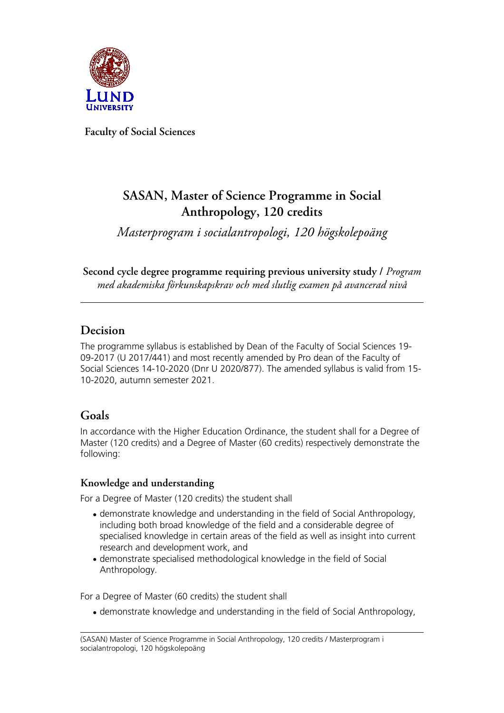

**Faculty of Social Sciences**

# **SASAN, Master of Science Programme in Social Anthropology, 120 credits**

*Masterprogram i socialantropologi, 120 högskolepoäng*

**Second cycle degree programme requiring previous university study /** *Program med akademiska förkunskapskrav och med slutlig examen på avancerad nivå*

# **Decision**

The programme syllabus is established by Dean of the Faculty of Social Sciences 19- 09-2017 (U 2017/441) and most recently amended by Pro dean of the Faculty of Social Sciences 14-10-2020 (Dnr U 2020/877). The amended syllabus is valid from 15- 10-2020, autumn semester 2021.

# **Goals**

In accordance with the Higher Education Ordinance, the student shall for a Degree of Master (120 credits) and a Degree of Master (60 credits) respectively demonstrate the following:

#### **Knowledge and understanding**

For a Degree of Master (120 credits) the student shall

- demonstrate knowledge and understanding in the field of Social Anthropology, including both broad knowledge of the field and a considerable degree of specialised knowledge in certain areas of the field as well as insight into current research and development work, and
- demonstrate specialised methodological knowledge in the field of Social Anthropology.

For a Degree of Master (60 credits) the student shall

• demonstrate knowledge and understanding in the field of Social Anthropology,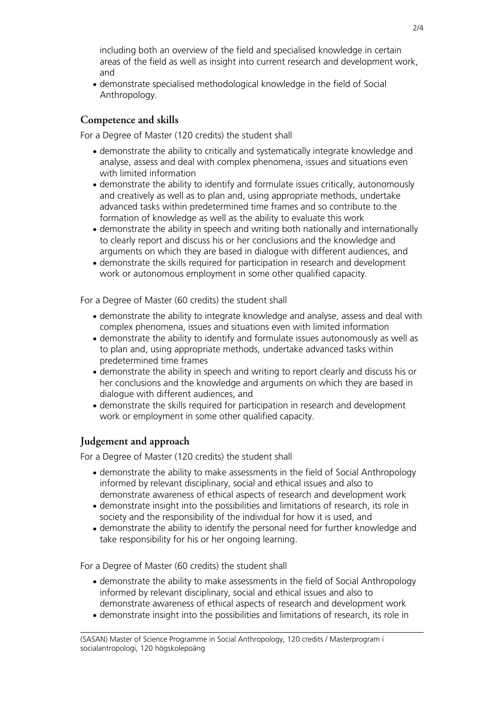including both an overview of the field and specialised knowledge in certain areas of the field as well as insight into current research and development work, and

• demonstrate specialised methodological knowledge in the field of Social Anthropology.

#### **Competence and skills**

For a Degree of Master (120 credits) the student shall

- demonstrate the ability to critically and systematically integrate knowledge and analyse, assess and deal with complex phenomena, issues and situations even with limited information
- demonstrate the ability to identify and formulate issues critically, autonomously and creatively as well as to plan and, using appropriate methods, undertake advanced tasks within predetermined time frames and so contribute to the formation of knowledge as well as the ability to evaluate this work
- demonstrate the ability in speech and writing both nationally and internationally to clearly report and discuss his or her conclusions and the knowledge and arguments on which they are based in dialogue with different audiences, and
- demonstrate the skills required for participation in research and development work or autonomous employment in some other qualified capacity.

For a Degree of Master (60 credits) the student shall

- demonstrate the ability to integrate knowledge and analyse, assess and deal with complex phenomena, issues and situations even with limited information
- demonstrate the ability to identify and formulate issues autonomously as well as to plan and, using appropriate methods, undertake advanced tasks within predetermined time frames
- demonstrate the ability in speech and writing to report clearly and discuss his or her conclusions and the knowledge and arguments on which they are based in dialogue with different audiences, and
- demonstrate the skills required for participation in research and development work or employment in some other qualified capacity.

#### **Judgement and approach**

For a Degree of Master (120 credits) the student shall

- demonstrate the ability to make assessments in the field of Social Anthropology informed by relevant disciplinary, social and ethical issues and also to demonstrate awareness of ethical aspects of research and development work
- demonstrate insight into the possibilities and limitations of research, its role in society and the responsibility of the individual for how it is used, and
- demonstrate the ability to identify the personal need for further knowledge and take responsibility for his or her ongoing learning.

For a Degree of Master (60 credits) the student shall

- demonstrate the ability to make assessments in the field of Social Anthropology informed by relevant disciplinary, social and ethical issues and also to demonstrate awareness of ethical aspects of research and development work
- demonstrate insight into the possibilities and limitations of research, its role in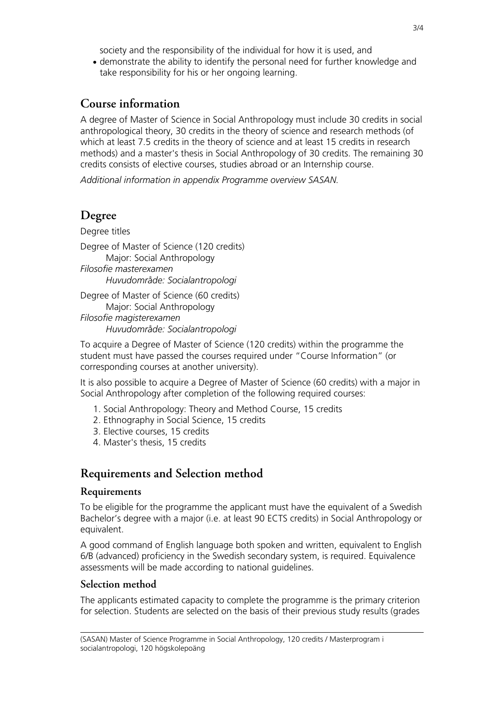society and the responsibility of the individual for how it is used, and

• demonstrate the ability to identify the personal need for further knowledge and take responsibility for his or her ongoing learning.

#### **Course information**

A degree of Master of Science in Social Anthropology must include 30 credits in social anthropological theory, 30 credits in the theory of science and research methods (of which at least 7.5 credits in the theory of science and at least 15 credits in research methods) and a master's thesis in Social Anthropology of 30 credits. The remaining 30 credits consists of elective courses, studies abroad or an Internship course.

*Additional information in appendix Programme overview SASAN.*

# **Degree**

Degree titles Degree of Master of Science (120 credits) Major: Social Anthropology *Filosofie masterexamen Huvudområde: Socialantropologi*

Degree of Master of Science (60 credits) Major: Social Anthropology *Filosofie magisterexamen Huvudområde: Socialantropologi*

To acquire a Degree of Master of Science (120 credits) within the programme the student must have passed the courses required under "Course Information" (or corresponding courses at another university).

It is also possible to acquire a Degree of Master of Science (60 credits) with a major in Social Anthropology after completion of the following required courses:

- 1. Social Anthropology: Theory and Method Course, 15 credits
- 2. Ethnography in Social Science, 15 credits
- 3. Elective courses, 15 credits
- 4. Master's thesis, 15 credits

# **Requirements and Selection method**

#### **Requirements**

To be eligible for the programme the applicant must have the equivalent of a Swedish Bachelor's degree with a major (i.e. at least 90 ECTS credits) in Social Anthropology or equivalent.

A good command of English language both spoken and written, equivalent to English 6/B (advanced) proficiency in the Swedish secondary system, is required. Equivalence assessments will be made according to national guidelines.

#### **Selection method**

The applicants estimated capacity to complete the programme is the primary criterion for selection. Students are selected on the basis of their previous study results (grades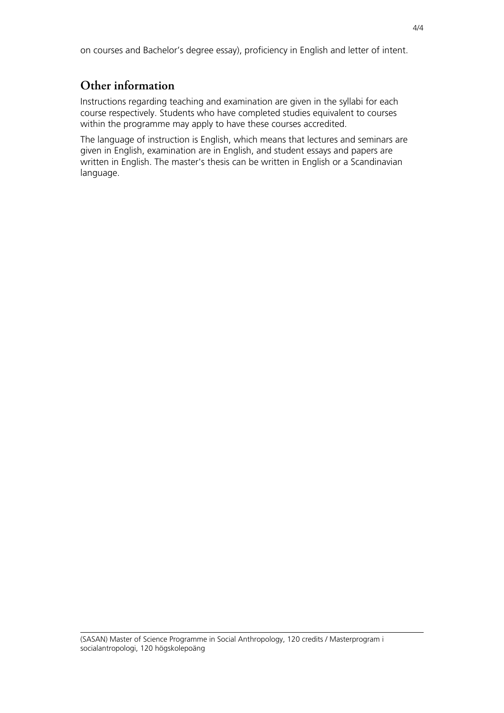on courses and Bachelor's degree essay), proficiency in English and letter of intent.

# **Other information**

Instructions regarding teaching and examination are given in the syllabi for each course respectively. Students who have completed studies equivalent to courses within the programme may apply to have these courses accredited.

The language of instruction is English, which means that lectures and seminars are given in English, examination are in English, and student essays and papers are written in English. The master's thesis can be written in English or a Scandinavian language.